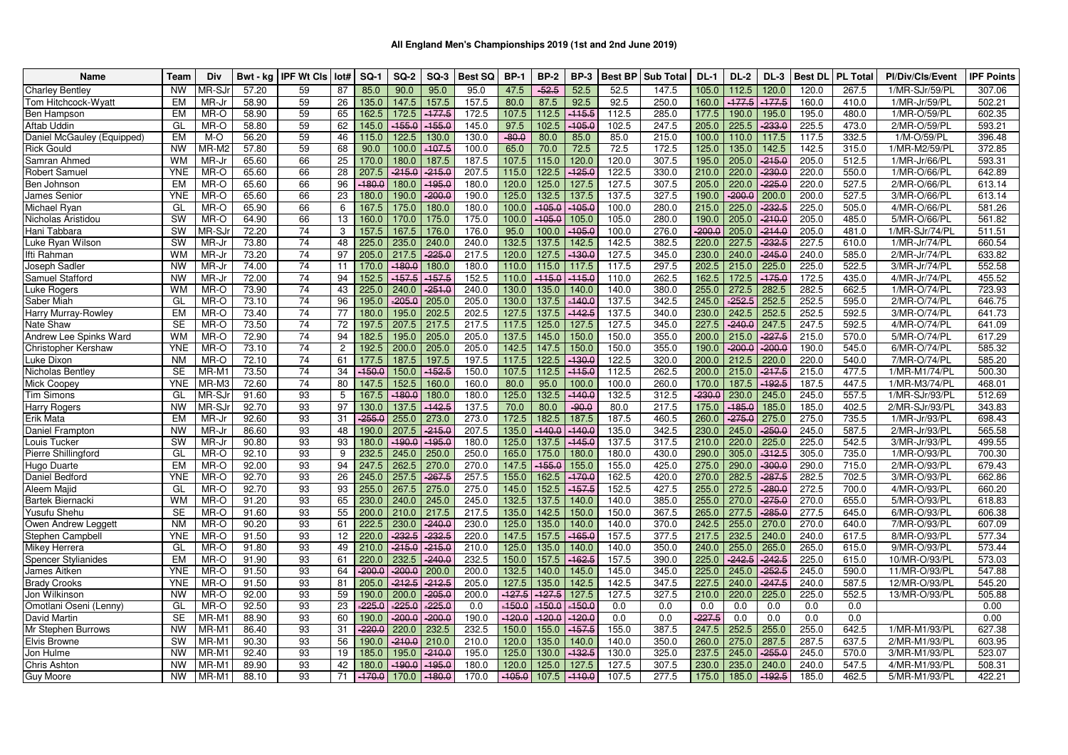| <b>Name</b>                | Team       | Div               | Bwt - ka | <b>IPF Wt CIs</b> | Iot#            | $SO-1$   | <b>SQ-2</b> | $SO-3$   | <b>Best SQ</b> | <b>BP-1</b> | <b>BP-2</b> | <b>BP-3</b> | <b>Best BP</b> | <b>Sub Total</b> | $DL-1$   | <b>DL-2</b> | $DL-3$   | <b>Best DL</b> | <b>PL Total</b> | Pl/Div/Cls/Event | <b>IPF Points</b> |
|----------------------------|------------|-------------------|----------|-------------------|-----------------|----------|-------------|----------|----------------|-------------|-------------|-------------|----------------|------------------|----------|-------------|----------|----------------|-----------------|------------------|-------------------|
| <b>Charley Bentley</b>     | <b>NW</b>  | <b>MR-SJ</b>      | 57.20    | 59                | 87              | 85.0     | 90.0        | 95.0     | 95.0           | 47.5        | $-52.5$     | 52.5        | 52.5           | 147.5            | 105.0    | 112.5       | 120.0    | 120.0          | 267.5           | 1/MR-SJr/59/PL   | 307.06            |
| Tom Hitchcock-Wyatt        | EM         | MR-Jr             | 58.90    | 59                | 26              | 135.0    | 147.5       | 157.5    | 157.5          | 80.0        | 87.5        | 92.5        | 92.5           | 250.0            | 160.0    | $-177.5$    | $-177.5$ | 160.0          | 410.0           | 1/MR-Jr/59/PL    | 502.21            |
| Ben Hampson                | EM         | MR-O              | 58.90    | 59                | 65              | 162.5    | 172.5       | $-177.5$ | 172.5          | 107.5       | 112.5       | $-115.5$    | 112.5          | 285.0            | 177.5    | 190.0       | 195.0    | 195.0          | 480.0           | 1/MR-O/59/PL     | 602.35            |
| Aftab Uddin                | GL         | MR-O              | 58.80    | 59                | 62              | 145.0    | $-155.0$    | $-155.0$ | 145.0          | 97.5        | 102.5       | $-105.0$    | 102.5          | 247.5            | 205.0    | 225.5       | $-233.0$ | 225.5          | 473.0           | 2/MR-O/59/PL     | 593.21            |
| Daniel McGauley (Equipped) | EM         | M-O               | 56.20    | 59                | 46              | 115.0    | 122.5       | 130.0    | 130.0          | $-80.0$     | 80.0        | 85.0        | 85.0           | 215.0            | 100.0    | 110.0       | 117.5    | 117.5          | 332.5           | 1/M-O/59/PL      | 396.48            |
| <b>Rick Gould</b>          | <b>NW</b>  | MR-M2             | 57.80    | 59                | 68              | 90.0     | 100.0       | $-107.5$ | 100.0          | 65.0        | 70.0        | 72.5        | 72.5           | 172.5            | 125.0    | 135.0       | 142.5    | 142.5          | 315.0           | 1/MR-M2/59/PL    | 372.85            |
| Samran Ahmed               | <b>WM</b>  | MR-Jr             | 65.60    | 66                | 25              | 170.0    | 180.0       | 187.5    | 187.5          | 107.5       | 115.0       | 120.0       | 120.0          | 307.5            | 195.0    | 205.0       | $-215.0$ | 205.0          | 512.5           | 1/MR-Jr/66/PL    | 593.31            |
| Robert Samuel              | <b>YNE</b> | MR-O              | 65.60    | 66                | 28              | 207.5    | $-215.0$    | $-215.0$ | 207.5          | 115.0       | 122.5       | $-125.0$    | 122.5          | 330.0            | 210.0    | 220.0       | $-230.0$ | 220.0          | 550.0           | 1/MR-O/66/PL     | 642.89            |
| Ben Johnson                | EM         | MR-O              | 65.60    | 66                | 96              | $-180.0$ | 180.0       | $-195.0$ | 180.0          | 120.0       | 125.0       | 127.5       | 127.5          | 307.5            | 205.0    | 220.0       | $-225.0$ | 220.0          | 527.5           | 2/MR-O/66/PL     | 613.14            |
| James Senior               | <b>YNE</b> | MR-O              | 65.60    | 66                | 23              | 180.0    | 190.0       | $-200.0$ | 190.0          | 125.0       | 132.5       | 137.5       | 137.5          | 327.5            | 190.0    | $-200.0$    | 200.0    | 200.0          | 527.5           | 3/MR-O/66/PL     | 613.14            |
| Michael Ryan               | GL         | MR-O              | 65.90    | 66                | 6               | 167.5    | 175.0       | 180.0    | 180.0          | 100.0       | $-105.0$    | $-105.0$    | 100.0          | 280.0            | 215.0    | 225.0       | 232.5    | 225.0          | 505.0           | 4/MR-O/66/PL     | 581.26            |
| Nicholas Aristidou         | SW         | MR-O              | 64.90    | 66                | 13              | 160.0    | 170.0       | 175.0    | 175.0          | 100.0       | $-105.0$    | 105.0       | 105.0          | 280.0            | 190.0    | 205.0       | $-210.0$ | 205.0          | 485.0           | 5/MR-O/66/PL     | 561.82            |
| Hani Tabbara               | SW         | <b>MR-SJ</b>      | 72.20    | $\overline{74}$   | 3               | 157.5    | 167.5       | 176.0    | 176.0          | 95.0        | 100.0       | $-105.0$    | 100.0          | 276.0            | $-200.0$ | 205.0       | $-214.0$ | 205.0          | 481.0           | 1/MR-SJr/74/PL   | 511.51            |
| Luke Ryan Wilson           | SW         | MR-Jr             | 73.80    | 74                | 48              | 225.0    | 235.0       | 240.0    | 240.0          | 132.5       | 137.5       | 142.5       | 142.5          | 382.5            | 220.0    | 227.5       | $-232.5$ | 227.5          | 610.0           | 1/MR-Jr/74/PL    | 660.54            |
| Ifti Rahman                | <b>WM</b>  | MR-J              | 73.20    | 74                | 97              | 205.0    | 217.5       | $-225.0$ | 217.5          | 120.0       | 127.5       | $-130.0$    | 127.5          | 345.0            | 230.0    | 240.0       | $-245.0$ | 240.0          | 585.0           | 2/MR-Jr/74/PL    | 633.82            |
| Joseph Sadler              | <b>NW</b>  | MR-Jr             | 74.00    | 74                | 11              | 170.0    | $-180.0$    | 180.0    | 180.0          | 110.0       | 115.0       | 117.5       | 117.5          | 297.5            | 202.5    | 215.0       | 225.0    | 225.0          | 522.5           | 3/MR-Jr/74/PL    | 552.58            |
| Samuel Stafford            | <b>NW</b>  | MR-Jr             | 72.00    | 74                | 94              | 152.5    | $-157.5$    | $-157.5$ | 152.5          | 110.0       | $-115.0$    | $-115.0$    | 110.0          | 262.5            | 162.5    | 172.5       | $-175.0$ | 172.5          | 435.0           | 4/MR-Jr/74/PL    | 455.52            |
| Luke Rogers                | <b>WM</b>  | MR-O              | 73.90    | 74                | 43              | 225.0    | 240.0       | $-251.0$ | 240.0          | 130.0       | 135.0       | 140.0       | 140.0          | 380.0            | 255.0    | 272.5       | 282.5    | 282.5          | 662.5           | 1/MR-O/74/PL     | 723.93            |
| Saber Miah                 | GL         | MR-O              | 73.10    | $\overline{74}$   | 96              | 195.0    | $-205.0$    | 205.0    | 205.0          | 130.0       | 137.5       | $-140.0$    | 137.5          | 342.5            | 245.0    | $-252.5$    | 252.5    | 252.5          | 595.0           | 2/MR-O/74/PL     | 646.75            |
| Harry Murray-Rowley        | <b>EM</b>  | MR-O              | 73.40    | $\overline{74}$   | 77              | 180.0    | 195.0       | 202.5    | 202.5          | 127.5       | 137.5       | $-142.5$    | 137.5          | 340.0            | 230.0    | 242.5       | 252.5    | 252.5          | 592.5           | 3/MR-O/74/PL     | 641.73            |
| Nate Shaw                  | <b>SE</b>  | MR-O              | 73.50    | 74                | 72              | 197.5    | 207.5       | 217.5    | 217.5          | 117.5       | 125.0       | 127.5       | 127.5          | 345.0            | 227.5    | $-240.0$    | 247.5    | 247.5          | 592.5           | 4/MR-O/74/PL     | 641.09            |
| Andrew Lee Spinks Ward     | <b>WM</b>  | MR-O              | 72.90    | 74                | 94              | 182.5    | 195.0       | 205.0    | 205.0          | 137.5       | 145.0       | 150.0       | 150.0          | 355.0            | 200.0    | 215.0       | $-227.5$ | 215.0          | 570.0           | 5/MR-O/74/PL     | 617.29            |
| Christopher Kershaw        | <b>YNE</b> | MR-O              | 73.10    | 74                | 2               | 192.5    | 200.0       | 205.0    | 205.0          | 142.5       | 147.5       | 150.0       | 150.0          | 355.0            | 190.0    | $-200.0$    | $-200.0$ | 190.0          | 545.0           | 6/MR-O/74/PL     | 585.32            |
| Luke Dixon                 | <b>NM</b>  | MR-O              | 72.10    | 74                | 61              | 177.5    | 187.5       | 197.5    | 197.5          | 117.5       | 122.5       | $-130.0$    | 122.5          | 320.0            | 200.0    | 212.5       | 220.0    | 220.0          | 540.0           | 7/MR-O/74/PL     | 585.20            |
| Nicholas Bentley           | <b>SE</b>  | MR-M              | 73.50    | 74                | 34              | $-150.0$ | 150.0       | $-152.5$ | 150.0          | 107.5       | 112.5       | $-115.0$    | 112.5          | 262.5            | 200.0    | 215.0       | $-217.5$ | 215.0          | 477.5           | 1/MR-M1/74/PL    | 500.30            |
| Mick Coopey                | <b>YNE</b> | MR-M3             | 72.60    | $\overline{74}$   | 80              | 147.5    | 152.5       | 160.0    | 160.0          | 80.0        | 95.0        | 100.0       | 100.0          | 260.0            | 170.0    | 187.5       | $-192.5$ | 187.5          | 447.5           | 1/MR-M3/74/PL    | 468.01            |
| <b>Tim Simons</b>          | GL         | MR-SJ             | 91.60    | 93                | 5               | 167.5    | $-180.0$    | 180.0    | 180.0          | 125.0       | 132.5       | $-140.0$    | 132.5          | 312.5            | $-230.0$ | 230.0       | 245.0    | 245.0          | 557.5           | 1/MR-SJr/93/PL   | 512.69            |
| <b>Harry Rogers</b>        | <b>NW</b>  | MR-SJ             | 92.70    | 93                | 97              | 130.0    | 137.5       | $-142.5$ | 137.5          | 70.0        | 80.0        | $-90.0$     | 80.0           | 217.5            | 175.0    | $-185.0$    | 185.0    | 185.0          | 402.5           | 2/MR-SJr/93/PL   | 343.83            |
| Erik Mata                  | EM         | MR-Jr             | 92.60    | 93                | 31              | 255.0    | 255.0       | 273.0    | 273.0          | 172.5       | 182.5       | 187.5       | 187.5          | 460.5            | 260.0    | $-275.0$    | 275.0    | 275.0          | 735.5           | 1/MR-Jr/93/PL    | 698.43            |
| Daniel Frampton            | <b>NW</b>  | MR-Jr             | 86.60    | 93                | 48              | 190.0    | 207.5       | $-215.0$ | 207.5          | 135.0       | $-140.0$    | $-140.0$    | 135.0          | 342.5            | 230.0    | 245.0       | $-250.0$ | 245.0          | 587.5           | 2/MR-Jr/93/PL    | 565.58            |
| Louis Tucker               | SW         | MR-Jr             | 90.80    | 93                | 93              | 180.0    | $-190.0$    | $-195.0$ | 180.0          | 125.0       | 137.5       | $-145.0$    | 137.5          | 317.5            | 210.0    | 220.0       | 225.0    | 225.0          | 542.5           | 3/MR-Jr/93/PL    | 499.55            |
| Pierre Shillingford        | GL         | MR-O              | 92.10    | 93                | 9               | 232.5    | 245.0       | 250.0    | 250.0          | 165.0       | 175.0       | 180.0       | 180.0          | 430.0            | 290.0    | 305.0       | $-312.5$ | 305.0          | 735.0           | 1/MR-O/93/PL     | 700.30            |
| Hugo Duarte                | EM         | MR-O              | 92.00    | 93                | 94              | 247.5    | 262.5       | 270.0    | 270.0          | 147.5       | $-155.0$    | 155.0       | 155.0          | 425.0            | 275.0    | 290.0       | $-300.0$ | 290.0          | 715.0           | 2/MR-O/93/PL     | 679.43            |
| Daniel Bedford             | <b>YNE</b> | MR-O              | 92.70    | 93                | $\overline{26}$ | 245.0    | 257.5       | $-267.5$ | 257.5          | 155.0       | 162.5       | $-170.0$    | 162.5          | 420.0            | 270.0    | 282.5       | $-287.5$ | 282.5          | 702.5           | 3/MR-O/93/PL     | 662.86            |
| Aleem Majid                | GL         | MR-O              | 92.70    | 93                | 93              | 255.0    | 267.5       | 275.0    | 275.0          | 145.0       | 152.5       | $-157.5$    | 152.5          | 427.5            | 255.0    | 272.5       | $-280.0$ | 272.5          | 700.0           | 4/MR-O/93/PL     | 660.20            |
| Bartek Biernacki           | <b>WM</b>  | MR-O              | 91.20    | 93                | 65              | 230.0    | 240.0       | 245.0    | 245.0          | 132.5       | 137.5       | 140.0       | 140.0          | 385.0            | 255.0    | 270.0       | $-275.0$ | 270.0          | 655.0           | 5/MR-O/93/PL     | 618.83            |
| Yusufu Shehu               | <b>SE</b>  | MR-O              | 91.60    | 93                | 55              | 200.0    | 210.0       | 217.5    | 217.5          | 135.0       | 142.5       | 150.0       | 150.0          | 367.5            | 265.0    | 277.5       | $-285.0$ | 277.5          | 645.0           | 6/MR-O/93/PL     | 606.38            |
| Owen Andrew Leggett        | <b>NM</b>  | MR-O              | 90.20    | 93                | 61              | 222.5    | 230.0       | $-240.0$ | 230.0          | 125.0       | 135.0       | 140.0       | 140.0          | 370.0            | 242.5    | 255.0       | 270.0    | 270.0          | 640.0           | 7/MR-O/93/PL     | 607.09            |
| Stephen Campbell           | <b>YNE</b> | MR-O              | 91.50    | 93                | 12              | 220.0    | $-232.5$    | $-232.5$ | 220.0          | 147.5       | 157.5       | $-165.0$    | 157.5          | 377.5            | 217.5    | 232.5       | 240.0    | 240.0          | 617.5           | 8/MR-O/93/PL     | 577.34            |
| Mikey Herrera              | GL         | MR-O              | 91.80    | 93                | 49              | 210.0    | $-215.0$    | $-215.0$ | 210.0          | 125.0       | 135.0       | 140.0       | 140.0          | 350.0            | 240.0    | 255.0       | 265.0    | 265.0          | 615.0           | 9/MR-O/93/PL     | 573.44            |
| <b>Spencer Stylianides</b> | EM         | MR-O              | 91.90    | 93                | 61              | 220.0    | 232.5       | $-240.0$ | 232.5          | 150.0       | 157.5       | $-162.5$    | 157.5          | 390.0            | 225.0    | $-242.5$    | $-242.5$ | 225.0          | 615.0           | 10/MR-O/93/PL    | 573.03            |
| James Aitken               | <b>YNE</b> | MR-O              | 91.50    | 93                | 64              | 200.0    | $-200.0$    | 200.0    | 200.0          | 132.5       | 140.0       | 145.0       | 145.0          | 345.0            | 225.0    | 245.0       | 252.5    | 245.0          | 590.0           | 11/MR-O/93/PL    | 547.88            |
| <b>Brady Crooks</b>        | <b>YNE</b> | MR-O              | 91.50    | 93                | 81              | 205.0    | $-212.5$    | $-212.5$ | 205.0          | 127.5       | 135.0       | 142.5       | 142.5          | 347.5            | 227.5    | 240.0       | $-247.5$ | 240.0          | 587.5           | 12/MR-O/93/PL    | 545.20            |
| Jon Wilkinson              | <b>NW</b>  | MR-O              | 92.00    | 93                | 59              | 190.0    | 200.0       | $-205.0$ | 200.0          | $-127.5$    | $-127.5$    | 127.5       | 127.5          | 327.5            | 210.0    | 220.0       | 225.0    | 225.0          | 552.5           | 13/MR-O/93/PL    | 505.88            |
| Omotlani Oseni (Lenny)     | GL         | MR-O              | 92.50    | 93                | 23              | $-225.0$ | $-225.0$    | $-225.0$ | 0.0            | $-150.0$    | $-150.0$    | $-150.0$    | 0.0            | 0.0              | 0.0      | 0.0         | 0.0      | 0.0            | 0.0             |                  | 0.00              |
| David Martin               | <b>SE</b>  | MR-M              | 88.90    | 93                | 60              | 190.0    | $-200.0$    | $-200.0$ | 190.0          | $-120.0$    | $-120.0$    | $-120.0$    | 0.0            | 0.0              | $-227.5$ | 0.0         | 0.0      | 0.0            | 0.0             |                  | 0.00              |
| Mr Stephen Burrows         | <b>NW</b>  | MR-M <sup>-</sup> | 86.40    | 93                | 31              | 220.0    | 220.0       | 232.5    | 232.5          | 150.0       | 155.0       | $-157.5$    | 155.0          | 387.5            | 247.5    | 252.5       | 255.0    | 255.0          | 642.5           | 1/MR-M1/93/PL    | 627.38            |
| Elvis Browne               | SW         | MR-M <sup>.</sup> | 90.30    | 93                | 56              | 190.0    | $-210.0$    | 210.0    | 210.0          | 120.0       | 135.0       | 140.0       | 140.0          | 350.0            | 260.0    | 275.0       | 287.5    | 287.5          | 637.5           | 2/MR-M1/93/PL    | 603.95            |
| Jon Hulme                  | <b>NW</b>  | MR-M              | 92.40    | 93                | 19              | 185.0    | 195.0       | $-210.0$ | 195.0          | 125.0       | 130.0       | $-132.5$    | 130.0          | 325.0            | 237.5    | 245.0       | $-255.0$ | 245.0          | 570.0           | 3/MR-M1/93/PL    | 523.07            |
| Chris Ashton               | <b>NW</b>  | MR-M <sup>.</sup> | 89.90    | 93                | 42              | 180.0    | $-190.0$    | $-195.0$ | 180.0          | 120.0       | 125.0       | 127.5       | 127.5          | 307.5            | 230.0    | 235.0       | 240.0    | 240.0          | 547.5           | 4/MR-M1/93/PL    | 508.31            |
| <b>Guy Moore</b>           | <b>NW</b>  | MR-M1             | 88.10    | 93                | 71              | $-170.0$ | 170.0       | $-180.0$ | 170.0          | $-105.0$    | 107.5       | $-110.0$    | 107.5          | 277.5            | 175.0    | 185.0       | $-192.5$ | 185.0          | 462.5           | 5/MR-M1/93/PL    | 422.21            |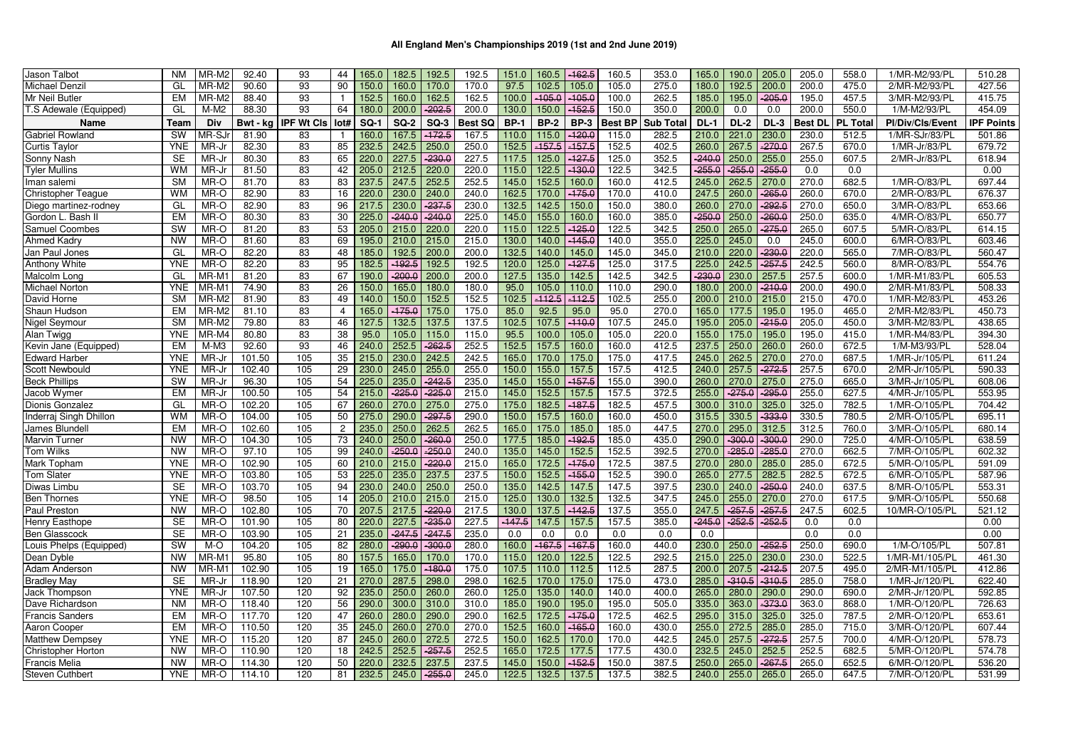| Jason Talbot              | <b>NM</b>  | MR-M2             | 92.40    | 93                | 44             | 165.0       | 182.5       | 192.5    | 192.5          | 151.0       | 160.5       | $-162.5$    | 160.5   | 353.0            | 165.0    | 190.0       | 205.0    | 205.0          | 558.0           | 1/MR-M2/93/PL    | 510.28           |
|---------------------------|------------|-------------------|----------|-------------------|----------------|-------------|-------------|----------|----------------|-------------|-------------|-------------|---------|------------------|----------|-------------|----------|----------------|-----------------|------------------|------------------|
| Michael Denzi             | GL         | MR-M2             | 90.60    | 93                | 90             | 150.0       | 160.0       | 170.0    | 170.0          | 97.5        | 102.5       | 105.0       | 105.0   | 275.0            | 180.0    | 192.5       | 200.0    | 200.0          | 475.0           | 2/MR-M2/93/PL    | 427.56           |
| Mr Neil Butler            | EM         | MR-M2             | 88.40    | 93                |                | 152.5       | 160.0       | 162.5    | 162.5          | 100.0       | $-105.0$    | $-105.0$    | 100.0   | 262.5            | 185.0    | 195.0       | $-205.0$ | 195.0          | 457.5           | 3/MR-M2/93/PL    | 415.75           |
| T.S Adewale (Equipped)    | GL         | $M-M2$            | 88.30    | 93                | 64             | 180.0       | 200.0       | $-202.5$ | 200.0          | 130.0       | 150.0       | $-152.5$    | 150.0   | 350.0            | 200.0    | 0.0         | 0.0      | 200.0          | 550.0           | 1/M-M2/93/PL     | 454.09           |
| Name                      | Team       | Div               | Bwt - kg | <b>IPF Wt Cls</b> | Iot#           | <b>SQ-1</b> | <b>SQ-2</b> | $SO-3$   | <b>Best SQ</b> | <b>BP-1</b> | <b>BP-2</b> | <b>BP-3</b> | Best BP | <b>Sub Total</b> | $DL-1$   | <b>DL-2</b> | $DL-3$   | <b>Best DL</b> | <b>PL Total</b> | Pl/Div/Cls/Event | <b>PF Points</b> |
| Gabriel Rowland           | <b>SW</b>  | MR-SJ             | 81.90    | 83                |                | 160.0       | 167.5       | $-172.5$ | 167.5          | 110.0       | 115.0       | $-120.0$    | 115.0   | 282.5            | 210.0    | 221.0       | 230.0    | 230.0          | 512.5           | 1/MR-SJr/83/PL   | 501.86           |
| Curtis Taylor             | <b>YNE</b> | MR-J              | 82.30    | 83                | 85             | 232.5       | 242.5       | 250.0    | 250.0          | 152.5       | $-157.5$    | $-157.5$    | 152.5   | 402.5            | 260.0    | 267.5       | $-270.0$ | 267.5          | 670.0           | 1/MR-Jr/83/PL    | 679.72           |
| Sonny Nash                | <b>SE</b>  | MR-Jı             | 80.30    | 83                | 65             | 220.0       | 227.5       | $-230.0$ | 227.5          | 117.5       | 125.0       | $-127.5$    | 125.0   | 352.5            | 240.0    | 250.0       | 255.0    | 255.0          | 607.5           | 2/MR-Jr/83/PL    | 618.94           |
| Tyler Mullins             | <b>WM</b>  | MR-J              | 81.50    | 83                | 42             | 205.0       | 212.5       | 220.0    | 220.0          | 115.0       | 122.5       | $-130.0$    | 122.5   | 342.5            | $-255.0$ | $-255.0$    | $-255.0$ | 0.0            | 0.0             |                  | 0.00             |
| lman salemi               | <b>SM</b>  | MR-O              | 81.70    | 83                | 83             | 237.5       | 247.5       | 252.5    | 252.5          | 145.0       | 152.5       | 160.0       | 160.0   | 412.5            | 245.0    | 262.5       | 270.0    | 270.0          | 682.5           | 1/MR-O/83/PL     | 697.44           |
| <b>Christopher Teaque</b> | WM         | MR-O              | 82.90    | 83                | 16             | 220.0       | 230.0       | 240.0    | 240.0          | 162.5       | 170.0       | $-175.0$    | 170.0   | 410.0            | 247.5    | 260.0       | $-265.6$ | 260.0          | 670.0           | 2/MR-O/83/PL     | 676.37           |
| Diego martinez-rodney     | GL         | MR-O              | 82.90    | 83                | 96             | 217.5       | 230.0       | $-237.5$ | 230.0          | 132.5       | 142.5       | 150.0       | 150.0   | 380.0            | 260.0    | 270.0       | $-292.5$ | 270.0          | 650.0           | 3/MR-O/83/PL     | 653.66           |
| Gordon L. Bash I          | <b>EM</b>  | MR-O              | 80.30    | 83                | 30             | 225.0       | $-240.0$    | $-240.0$ | 225.0          | 145.0       | 155.0       | 160.0       | 160.0   | 385.0            | $-250.0$ | 250.0       | $-260.0$ | 250.0          | 635.0           | 4/MR-O/83/PL     | 650.77           |
| <b>Samuel Coombes</b>     | <b>SW</b>  | MR-O              | 81.20    | 83                | 53             | 205.0       | 215.0       | 220.0    | 220.0          | 115.0       | 122.5       | $-125.0$    | 122.5   | 342.5            | 250.0    | 265.0       | $-275.0$ | 265.0          | 607.5           | 5/MR-O/83/PL     | 614.15           |
| Ahmed Kadry               | <b>NW</b>  | MR-O              | 81.60    | 83                | 69             | 195.0       | 210.0       | 215.0    | 215.0          | 130.0       | 140.0       | $-145.0$    | 140.0   | 355.0            | 225.0    | 245.0       | 0.0      | 245.0          | 600.0           | 6/MR-O/83/PL     | 603.46           |
| Jan Paul Jones            | GL         | MR-O              | 82.20    | 83                | 48             | 185.0       | 192.5       | 200.0    | 200.0          | 132.5       | 140.0       | 145.0       | 145.0   | 345.0            | 210.0    | 220.0       | $-230.6$ | 220.0          | 565.0           | 7/MR-O/83/PL     | 560.47           |
| <b>Anthony White</b>      | <b>YNE</b> | MR-O              | 82.20    | 83                | 95             | 182.5       | $-192.5$    | 192.5    | 192.5          | 120.0       | 125.0       | $-127.5$    | 125.0   | 317.5            | 225.0    | 242.5       | 257.5    | 242.5          | 560.0           | 8/MR-O/83/PL     | 554.76           |
| Malcolm Long              | GL         | MR-M1             | 81.20    | 83                | 67             | 190.0       | $-200.0$    | 200.0    | 200.0          | 127.5       | 135.0       | 142.5       | 142.5   | 342.5            | $-230.0$ | 230.0       | 257.5    | 257.5          | 600.0           | 1/MR-M1/83/PL    | 605.53           |
| <b>Michael Norton</b>     | <b>YNE</b> | MR-M <sup>®</sup> | 74.90    | 83                | 26             | 150.0       | 165.0       | 180.0    | 180.0          | 95.0        | 105.0       | 110.0       | 110.0   | 290.0            | 180.0    | 200.0       | $-210.6$ | 200.0          | 490.0           | 2/MR-M1/83/PL    | 508.33           |
| David Horne               | <b>SM</b>  | MR-M2             | 81.90    | 83                | 49             | 140.0       | 150.0       | 152.5    | 152.5          | 102.5       | $-112.5$    | $-112.5$    | 102.5   | 255.0            | 200.0    | 210.0       | 215.0    | 215.0          | 470.0           | 1/MR-M2/83/PL    | 453.26           |
| Shaun Hudson              | EM         | MR-M2             | 81.10    | 83                | $\overline{4}$ | 165.0       | 175.0       | 175.0    | 175.0          | 85.0        | 92.5        | 95.0        | 95.0    | 270.0            | 165.0    | 177.5       | 195.0    | 195.0          | 465.0           | 2/MR-M2/83/PL    | 450.73           |
| Nigel Seymour             | <b>SM</b>  | MR-M2             | 79.80    | 83                | 46             | 127.5       | 132.5       | 137.5    | 137.5          | 102.5       | 107.5       | $-110.0$    | 107.5   | 245.0            | 195.0    | 205.0       | 215.0    | 205.0          | 450.0           | 3/MR-M2/83/PL    | 438.65           |
| Alan Twigg                | <b>YNE</b> | MR-M4             | 80.80    | 83                | 38             | 95.0        | 105.0       | 115.0    | 115.0          | 95.5        | 100.0       | 105.0       | 105.0   | 220.0            | 155.0    | 175.0       | 195.0    | 195.0          | 415.0           | 1/MR-M4/83/PL    | 394.30           |
| Kevin Jane (Equipped)     | <b>EM</b>  | $M-M3$            | 92.60    | 93                | 46             | 240.0       | 252.5       | $-262.5$ | 252.5          | 152.5       | 157.5       | 160.0       | 160.0   | 412.5            | 237.5    | 250.0       | 260.0    | 260.0          | 672.5           | 1/M-M3/93/PL     | 528.04           |
| <b>Edward Harber</b>      | <b>YNE</b> | MR-J              | 101.50   | 105               | 35             | 215.0       | 230.0       | 242.5    | 242.5          | 165.0       | 170.0       | 175.0       | 175.0   | 417.5            | 245.0    | 262.5       | 270.0    | 270.0          | 687.5           | 1/MR-Jr/105/PL   | 611.24           |
| <b>Scott Newbould</b>     | <b>YNE</b> | MR-J              | 102.40   | 105               | 29             | 230.0       | 245.0       | 255.0    | 255.0          | 150.0       | 155.0       | 157.5       | 157.5   | 412.5            | 240.0    | 257.5       | $-272.5$ | 257.5          | 670.0           | 2/MR-Jr/105/PL   | 590.33           |
| <b>Beck Phillips</b>      | <b>SW</b>  | MR-J              | 96.30    | 105               | 54             | 225.0       | 235.0       | $-242.5$ | 235.0          | 145.0       | 155.0       | $-157.5$    | 155.0   | 390.0            | 260.0    | 270.0       | 275.0    | 275.0          | 665.0           | 3/MR-Jr/105/PL   | 608.06           |
| Jacob Wymer               | EM         | MR-Jı             | 100.50   | 105               | 54             | 215.0       | $-225.0$    | $-225.0$ | 215.0          | 145.0       | 152.5       | 157.5       | 157.5   | 372.5            | 255.0    | $-275.0$    | $-295.0$ | 255.0          | 627.5           | 4/MR-Jr/105/PL   | 553.95           |
| Dionis Gonzalez           | GL         | MR-O              | 102.20   | 105               | 67             | 260.0       | 270.0       | 275.0    | 275.0          | 175.0       | 182.5       | $-187.5$    | 182.5   | 457.5            | 300.0    | 310.0       | 325.0    | 325.0          | 782.5           | 1/MR-O/105/PL    | 704.42           |
| Inderrai Singh Dhillon    | <b>WM</b>  | MR-O              | 104.00   | 105               | 50             | 275.0       | 290.0       | $-297.5$ | 290.0          | 150.0       | 157.5       | 160.0       | 160.0   | 450.0            | 315.5    | 330.5       | $-333.6$ | 330.5          | 780.5           | 2/MR-O/105/PL    | 695.11           |
| James Blundel             | <b>EM</b>  | MR-O              | 102.60   | 105               | $\overline{c}$ | 235.0       | 250.0       | 262.5    | 262.5          | 165.0       | 175.0       | 185.0       | 185.0   | 447.5            | 270.0    | 295.0       | 312.5    | 312.5          | 760.0           | 3/MR-O/105/PL    | 680.14           |
| Marvin Turner             | <b>NW</b>  | MR-O              | 104.30   | 105               | 73             | 240.0       | 250.0       | $-260.0$ | 250.0          | 177.5       | 185.0       | $-192.5$    | 185.0   | 435.0            | 290.0    | $-300.0$    | 300.6    | 290.0          | 725.0           | 4/MR-O/105/PL    | 638.59           |
| Tom Wilks                 | <b>NW</b>  | MR-O              | 97.10    | 105               | 99             | 240.0       | $-250.0$    | $-250.0$ | 240.0          | 135.0       | 145.0       | 152.5       | 152.5   | 392.5            | 270.0    | $-285.0$    | $-285.6$ | 270.0          | 662.5           | 7/MR-O/105/PL    | 602.32           |
| Mark Topham               | <b>YNE</b> | MR-O              | 102.90   | 105               | 60             | 210.0       | 215.0       | $-220.0$ | 215.0          | 165.0       | 172.5       | $-175.0$    | 172.5   | 387.5            | 270.0    | 280.0       | 285.0    | 285.0          | 672.5           | 5/MR-O/105/PL    | 591.09           |
| <b>Tom Slater</b>         | <b>YNE</b> | MR-O              | 103.80   | 105               | 53             | 225.0       | 235.0       | 237.5    | 237.5          | 150.0       | 152.5       | $-155.0$    | 152.5   | 390.0            | 265.0    | 277.5       | 282.5    | 282.5          | 672.5           | 6/MR-O/105/PL    | 587.96           |
| Diwas Limbu               | <b>SE</b>  | MR-O              | 103.70   | 105               | 94             | 230.0       | 240.0       | 250.0    | 250.0          | 135.0       | 142.5       | 147.5       | 147.5   | 397.5            | 230.0    | 240.0       | $-250.6$ | 240.0          | 637.5           | 8/MR-O/105/PL    | 553.31           |
| <b>Ben Thornes</b>        | <b>YNE</b> | MR-O              | 98.50    | 105               | 14             | 205.0       | 210.0       | 215.0    | 215.0          | 125.0       | 130.0       | 132.5       | 132.5   | 347.5            | 245.0    | 255.0       | 270.0    | 270.0          | 617.5           | 9/MR-O/105/PL    | 550.68           |
| Paul Preston              | <b>NW</b>  | MR-O              | 102.80   | 105               | 70             | 207.5       | 217.5       | $-220.0$ | 217.5          | 130.0       | 137.5       | $-142.5$    | 137.5   | 355.0            | 247.5    | $-257.5$    | $-257.5$ | 247.5          | 602.5           | 10/MR-O/105/PL   | 521.12           |
| Henry Easthope            | <b>SE</b>  | MR-O              | 101.90   | 105               | 80             | 220.0       | 227.5       | $-235.0$ | 227.5          | $-147.5$    | 147.5       | 157.5       | 157.5   | 385.0            | 245.0    | $-252.5$    | 252.5    | 0.0            | 0.0             |                  | 0.00             |
| <b>Ben Glasscock</b>      | <b>SE</b>  | MR-O              | 103.90   | 105               | 21             | 235.0       | $-247.5$    | $-247.5$ | 235.0          | 0.0         | 0.0         | 0.0         | 0.0     | 0.0              | 0.0      |             |          | 0.0            | 0.0             |                  | 0.00             |
| Louis Phelps (Equipped)   | <b>SW</b>  | M-O               | 104.20   | 105               | 82             | 280.0       | $-290.0$    | $-300.0$ | 280.0          | 160.0       | $-167.5$    | $-167.5$    | 160.0   | 440.0            | 230.0    | 250.0       | $-252.5$ | 250.0          | 690.0           | 1/M-O/105/PL     | 507.81           |
| Dean Dyble                | <b>NW</b>  | MR-M              | 95.80    | 105               | 80             | 157.5       | 165.0       | 170.0    | 170.0          | 115.0       | 120.0       | 122.5       | 122.5   | 292.5            | 215.0    | 225.0       | 230.0    | 230.0          | 522.5           | 1/MR-M1/105/PL   | 461.30           |
| Adam Anderson             | <b>NW</b>  | MR-M              | 102.90   | 105               | 19             | 165.0       | 175.0       | $-180.0$ | 175.0          | 107.5       | 110.0       | 112.5       | 112.5   | 287.5            | 200.0    | 207.5       | $-212.5$ | 207.5          | 495.0           | 2/MR-M1/105/PL   | 412.86           |
| Bradley May               | <b>SE</b>  | MR-J              | 118.90   | 120               | 21             | 270.0       | 287.5       | 298.0    | 298.0          | 162.5       | 170.0       | 175.0       | 175.0   | 473.0            | 285.0    | $-310.5$    | $-310.5$ | 285.0          | 758.0           | 1/MR-Jr/120/PL   | 622.40           |
| Jack Thompson             | <b>YNE</b> | MR-J              | 107.50   | 120               | 92             | 235.0       | 250.0       | 260.0    | 260.0          | 125.0       | 135.0       | 140.0       | 140.0   | 400.0            | 265.0    | 280.0       | 290.0    | 290.0          | 690.0           | 2/MR-Jr/120/PL   | 592.85           |
| Dave Richardson           | <b>NM</b>  | MR-O              | 118.40   | 120               | 56             | 290.0       | 300.0       | 310.0    | 310.0          | 185.0       | 190.0       | 195.0       | 195.0   | 505.0            | 335.0    | 363.0       | $-373.0$ | 363.0          | 868.0           | 1/MR-O/120/PL    | 726.63           |
| <b>Francis Sanders</b>    | EM         | MR-O              | 117.70   | 120               | 47             | 260.0       | 280.0       | 290.0    | 290.0          | 162.5       | 172.5       | $-175.0$    | 172.5   | 462.5            | 295.0    | 315.0       | 325.0    | 325.0          | 787.5           | 2/MR-O/120/PL    | 653.61           |
| Aaron Cooper              | <b>EM</b>  | MR-O              | 110.50   | 120               | 35             | 245.0       | 260.0       | 270.0    | 270.0          | 152.5       | 160.0       | $-165.0$    | 160.0   | 430.0            | 255.0    | 272.5       | 285.0    | 285.0          | 715.0           | 3/MR-O/120/PL    | 607.44           |
| <b>Matthew Dempsey</b>    | <b>YNE</b> | MR-O              | 115.20   | 120               | 87             | 245.0       | 260.0       | 272.5    | 272.5          | 150.0       | 162.5       | 170.0       | 170.0   | 442.5            | 245.0    | 257.5       | $-272.5$ | 257.5          | 700.0           | 4/MR-O/120/PL    | 578.73           |
| <b>Christopher Horton</b> | <b>NW</b>  | MR-O              | 110.90   | 120               | 18             | 242.5       | 252.5       | $-257.5$ | 252.5          | 165.0       | 172.5       | 177.5       | 177.5   | 430.0            | 232.5    | 245.0       | 252.5    | 252.5          | 682.5           | 5/MR-O/120/PI    | 574.78           |
| Francis Melia             | <b>NW</b>  | MR-O              | 114.30   | 120               | 50             | 220.0       | 232.5       | 237.5    | 237.5          | 145.0       | 150.0       | $-152.5$    | 150.0   | 387.5            | 250.0    | 265.0       | $-267.5$ | 265.0          | 652.5           | 6/MR-O/120/PL    | 536.20           |
| <b>Steven Cuthbert</b>    | <b>YNE</b> | MR-O              | 114.10   | 120               | 81             | 232.5       | 245.0       | $-255.0$ | 245.0          | 122.5       | 132.5       | 137.5       | 137.5   | 382.5            | 240.0    | 255.0       | 265.0    | 265.0          | 647.5           | 7/MR-O/120/PL    | 531.99           |